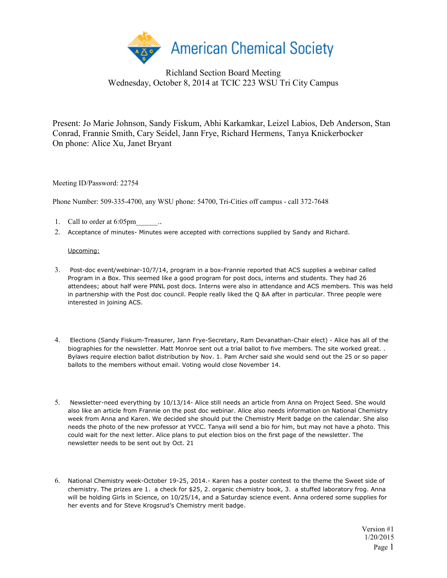

## Richland Section Board Meeting Wednesday, October 8, 2014 at TCIC 223 WSU Tri City Campus

Present: Jo Marie Johnson, Sandy Fiskum, Abhi Karkamkar, Leizel Labios, Deb Anderson, Stan Conrad, Frannie Smith, Cary Seidel, Jann Frye, Richard Hermens, Tanya Knickerbocker On phone: Alice Xu, Janet Bryant

Meeting ID/Password: 22754

Phone Number: 509-335-4700, any WSU phone: 54700, Tri-Cities off campus - call 372-7648

- 1. Call to order at 6:05pm\_\_\_\_\_\_..
- 2. Acceptance of minutes- Minutes were accepted with corrections supplied by Sandy and Richard.

## Upcoming:

- 3. Post-doc event/webinar-10/7/14, program in a box-Frannie reported that ACS supplies a webinar called Program in a Box. This seemed like a good program for post docs, interns and students. They had 26 attendees; about half were PNNL post docs. Interns were also in attendance and ACS members. This was held in partnership with the Post doc council. People really liked the Q &A after in particular. Three people were interested in joining ACS.
- 4. Elections (Sandy Fiskum-Treasurer, Jann Frye-Secretary, Ram Devanathan-Chair elect) Alice has all of the biographies for the newsletter. Matt Monroe sent out a trial ballot to five members. The site worked great. . Bylaws require election ballot distribution by Nov. 1. Pam Archer said she would send out the 25 or so paper ballots to the members without email. Voting would close November 14.
- 5. Newsletter-need everything by 10/13/14- Alice still needs an article from Anna on Project Seed. She would also like an article from Frannie on the post doc webinar. Alice also needs information on National Chemistry week from Anna and Karen. We decided she should put the Chemistry Merit badge on the calendar. She also needs the photo of the new professor at YVCC. Tanya will send a bio for him, but may not have a photo. This could wait for the next letter. Alice plans to put election bios on the first page of the newsletter. The newsletter needs to be sent out by Oct. 21
- 6. National Chemistry week-October 19-25, 2014.- Karen has a poster contest to the theme the Sweet side of chemistry. The prizes are 1. a check for \$25, 2. organic chemistry book, 3. a stuffed laboratory frog. Anna will be holding Girls in Science, on 10/25/14, and a Saturday science event. Anna ordered some supplies for her events and for Steve Krogsrud's Chemistry merit badge.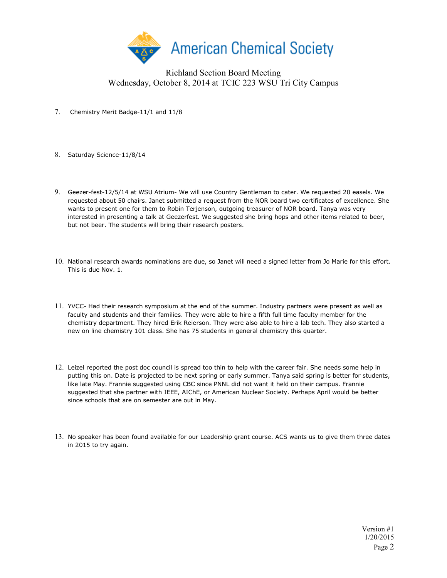

## Richland Section Board Meeting Wednesday, October 8, 2014 at TCIC 223 WSU Tri City Campus

- 7. Chemistry Merit Badge-11/1 and 11/8
- 8. Saturday Science-11/8/14
- 9. Geezer-fest-12/5/14 at WSU Atrium- We will use Country Gentleman to cater. We requested 20 easels. We requested about 50 chairs. Janet submitted a request from the NOR board two certificates of excellence. She wants to present one for them to Robin Terjenson, outgoing treasurer of NOR board. Tanya was very interested in presenting a talk at Geezerfest. We suggested she bring hops and other items related to beer, but not beer. The students will bring their research posters.
- 10. National research awards nominations are due, so Janet will need a signed letter from Jo Marie for this effort. This is due Nov. 1.
- 11. YVCC- Had their research symposium at the end of the summer. Industry partners were present as well as faculty and students and their families. They were able to hire a fifth full time faculty member for the chemistry department. They hired Erik Reierson. They were also able to hire a lab tech. They also started a new on line chemistry 101 class. She has 75 students in general chemistry this quarter.
- 12. Leizel reported the post doc council is spread too thin to help with the career fair. She needs some help in putting this on. Date is projected to be next spring or early summer. Tanya said spring is better for students, like late May. Frannie suggested using CBC since PNNL did not want it held on their campus. Frannie suggested that she partner with IEEE, AIChE, or American Nuclear Society. Perhaps April would be better since schools that are on semester are out in May.
- 13. No speaker has been found available for our Leadership grant course. ACS wants us to give them three dates in 2015 to try again.